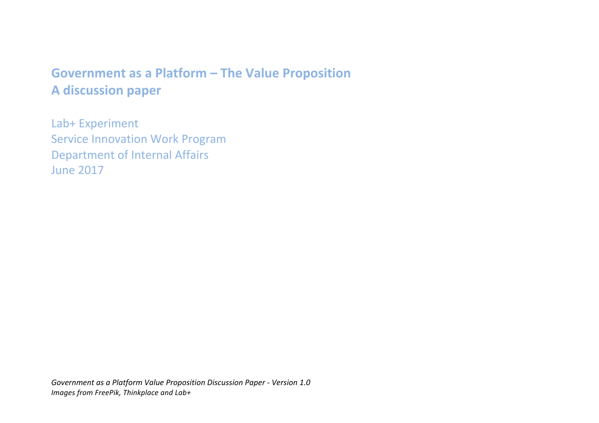# Government as a Platform - The Value Proposition **A discussion paper**

Lab+ Experiment Service Innovation Work Program Department of Internal Affairs June 2017

Government as a Platform Value Proposition Discussion Paper - Version 1.0 *Images from FreePik, Thinkplace and Lab+*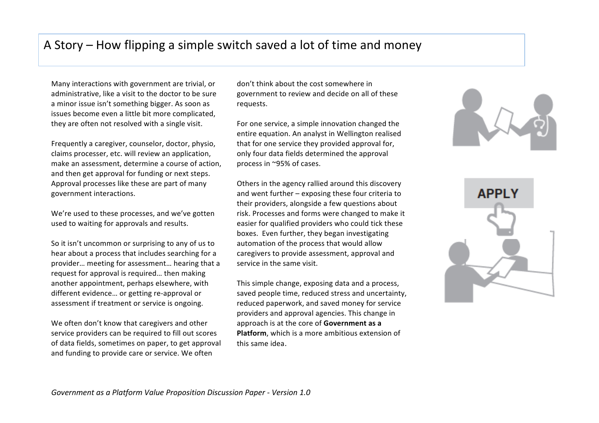### A Story – How flipping a simple switch saved a lot of time and money

Many interactions with government are trivial, or administrative, like a visit to the doctor to be sure a minor issue isn't something bigger. As soon as issues become even a little bit more complicated. they are often not resolved with a single visit.

Frequently a caregiver, counselor, doctor, physio, claims processer, etc. will review an application, make an assessment, determine a course of action, and then get approval for funding or next steps. Approval processes like these are part of many government interactions.

We're used to these processes, and we've gotten used to waiting for approvals and results.

So it isn't uncommon or surprising to any of us to hear about a process that includes searching for a provider... meeting for assessment... hearing that a request for approval is required... then making another appointment, perhaps elsewhere, with different evidence... or getting re-approval or assessment if treatment or service is ongoing.

We often don't know that caregivers and other service providers can be required to fill out scores of data fields, sometimes on paper, to get approval and funding to provide care or service. We often

don't think about the cost somewhere in government to review and decide on all of these requests.

For one service, a simple innovation changed the entire equation. An analyst in Wellington realised that for one service they provided approval for, only four data fields determined the approval process in ~95% of cases.

Others in the agency rallied around this discovery and went further  $-$  exposing these four criteria to their providers, alongside a few questions about risk. Processes and forms were changed to make it easier for qualified providers who could tick these boxes. Even further, they began investigating automation of the process that would allow caregivers to provide assessment, approval and service in the same visit.

This simple change, exposing data and a process, saved people time, reduced stress and uncertainty, reduced paperwork, and saved money for service providers and approval agencies. This change in approach is at the core of Government as a **Platform**, which is a more ambitious extension of this same idea.



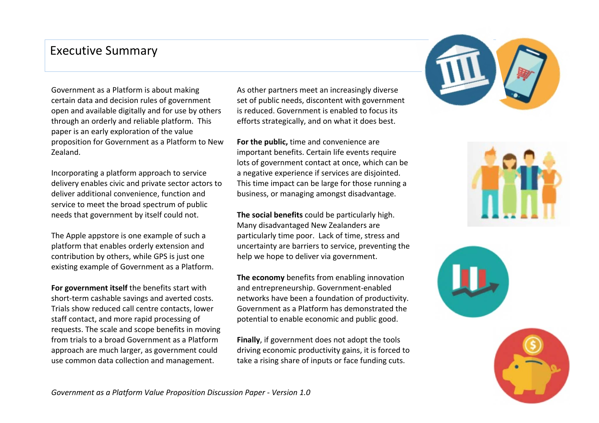#### **Executive Summary**

Government as a Platform is about making certain data and decision rules of government open and available digitally and for use by others through an orderly and reliable platform. This paper is an early exploration of the value proposition for Government as a Platform to New Zealand.

Incorporating a platform approach to service delivery enables civic and private sector actors to deliver additional convenience, function and service to meet the broad spectrum of public needs that government by itself could not.

The Apple appstore is one example of such a platform that enables orderly extension and contribution by others, while GPS is just one existing example of Government as a Platform.

**For government itself** the benefits start with short-term cashable savings and averted costs. Trials show reduced call centre contacts, lower staff contact, and more rapid processing of requests. The scale and scope benefits in moving from trials to a broad Government as a Platform approach are much larger, as government could use common data collection and management.

As other partners meet an increasingly diverse set of public needs, discontent with government is reduced. Government is enabled to focus its efforts strategically, and on what it does best.

**For the public, time and convenience are** important benefits. Certain life events require lots of government contact at once, which can be a negative experience if services are disjointed. This time impact can be large for those running a business, or managing amongst disadvantage.

**The social benefits** could be particularly high. Many disadvantaged New Zealanders are particularly time poor. Lack of time, stress and uncertainty are barriers to service, preventing the help we hope to deliver via government.

**The economy** benefits from enabling innovation and entrepreneurship. Government-enabled networks have been a foundation of productivity. Government as a Platform has demonstrated the potential to enable economic and public good.

**Finally**, if government does not adopt the tools driving economic productivity gains, it is forced to take a rising share of inputs or face funding cuts.







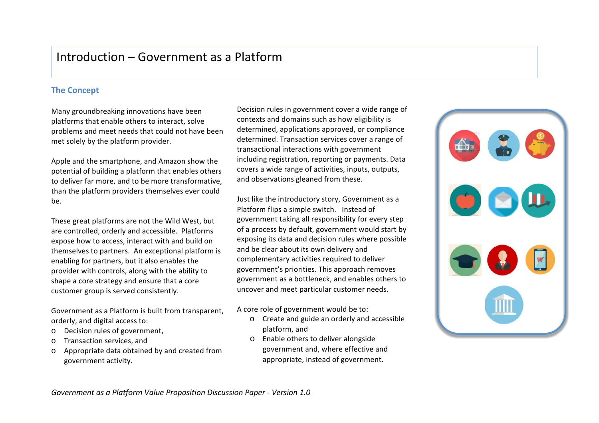### Introduction – Government as a Platform

#### **The Concept**

Many groundbreaking innovations have been platforms that enable others to interact, solve problems and meet needs that could not have been met solely by the platform provider.

Apple and the smartphone, and Amazon show the potential of building a platform that enables others to deliver far more, and to be more transformative, than the platform providers themselves ever could be.

These great platforms are not the Wild West, but are controlled, orderly and accessible. Platforms expose how to access, interact with and build on themselves to partners. An exceptional platform is enabling for partners, but it also enables the provider with controls, along with the ability to shape a core strategy and ensure that a core customer group is served consistently.

Government as a Platform is built from transparent, orderly, and digital access to:

- o Decision rules of government,
- o Transaction services, and
- $\circ$  Appropriate data obtained by and created from government activity.

Decision rules in government cover a wide range of contexts and domains such as how eligibility is determined, applications approved, or compliance determined. Transaction services cover a range of transactional interactions with government including registration, reporting or payments. Data covers a wide range of activities, inputs, outputs, and observations gleaned from these.

Just like the introductory story, Government as a Platform flips a simple switch. Instead of government taking all responsibility for every step of a process by default, government would start by exposing its data and decision rules where possible and be clear about its own delivery and complementary activities required to deliver government's priorities. This approach removes government as a bottleneck, and enables others to uncover and meet particular customer needs.

#### A core role of government would be to:

- o Create and guide an orderly and accessible platform, and
- o Enable others to deliver alongside government and, where effective and appropriate, instead of government.

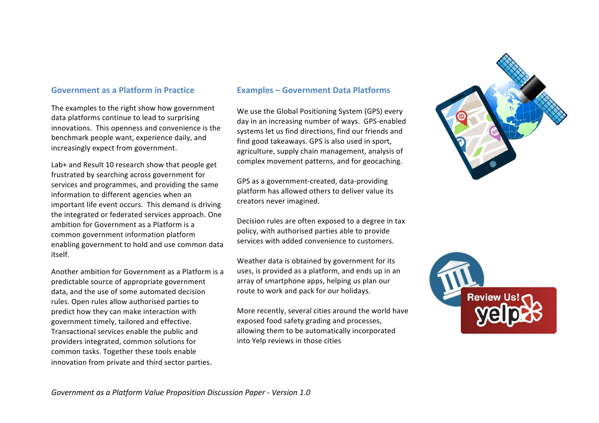#### **Government as a Platform in Practice**

The examples to the right show how government data platforms continue to lead to surprising innovations. This openness and convenience is the benchmark people want, experience daily, and increasingly expect from government.

Lab+ and Result 10 research show that people get frustrated by searching across government for services and programmes, and providing the same information to different agencies when an important life event occurs. This demand is driving the integrated or federated services approach. One ambition for Government as a Platform is a common government information platform enabling government to hold and use common data itself.

Another ambition for Government as a Platform is a predictable source of appropriate government data, and the use of some automated decision rules. Open rules allow authorised parties to predict how they can make interaction with government timely, tailored and effective. Transactional services enable the public and providers integrated, common solutions for common tasks. Together these tools enable innovation from private and third sector parties.

#### **Examples – Government Data Platforms**

We use the Global Positioning System (GPS) every day in an increasing number of ways. GPS-enabled systems let us find directions, find our friends and find good takeaways. GPS is also used in sport, agriculture, supply chain management, analysis of complex movement patterns, and for geocaching.

GPS as a government-created, data-providing platform has allowed others to deliver value its creators never imagined.

Decision rules are often exposed to a degree in tax policy, with authorised parties able to provide services with added convenience to customers.

Weather data is obtained by government for its uses, is provided as a platform, and ends up in an array of smartphone apps, helping us plan our route to work and pack for our holidays.

More recently, several cities around the world have exposed food safety grading and processes, allowing them to be automatically incorporated into Yelp reviews in those cities



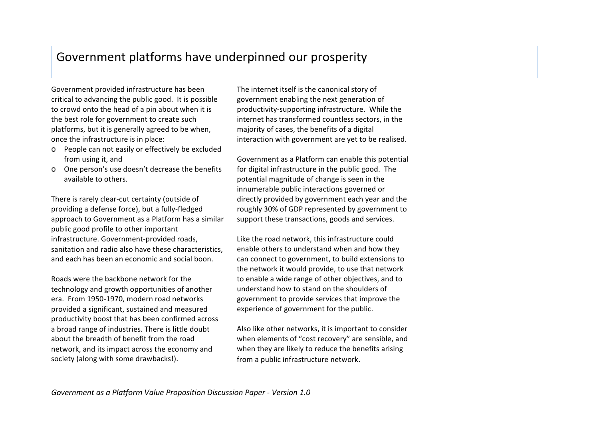### Government platforms have underpinned our prosperity

Government provided infrastructure has been critical to advancing the public good. It is possible to crowd onto the head of a pin about when it is the best role for government to create such platforms, but it is generally agreed to be when, once the infrastructure is in place:

- o People can not easily or effectively be excluded from using it, and
- o One person's use doesn't decrease the benefits available to others.

There is rarely clear-cut certainty (outside of providing a defense force), but a fully-fledged approach to Government as a Platform has a similar public good profile to other important infrastructure. Government-provided roads, sanitation and radio also have these characteristics. and each has been an economic and social boon.

Roads were the backbone network for the technology and growth opportunities of another era. From 1950-1970, modern road networks provided a significant, sustained and measured productivity boost that has been confirmed across a broad range of industries. There is little doubt about the breadth of benefit from the road network, and its impact across the economy and society (along with some drawbacks!).

The internet itself is the canonical story of government enabling the next generation of productivity-supporting infrastructure. While the internet has transformed countless sectors, in the majority of cases, the benefits of a digital interaction with government are yet to be realised.

Government as a Platform can enable this potential for digital infrastructure in the public good. The potential magnitude of change is seen in the innumerable public interactions governed or directly provided by government each year and the roughly 30% of GDP represented by government to support these transactions, goods and services.

Like the road network, this infrastructure could enable others to understand when and how they can connect to government, to build extensions to the network it would provide, to use that network to enable a wide range of other objectives, and to understand how to stand on the shoulders of government to provide services that improve the experience of government for the public.

Also like other networks, it is important to consider when elements of "cost recovery" are sensible, and when they are likely to reduce the benefits arising from a public infrastructure network.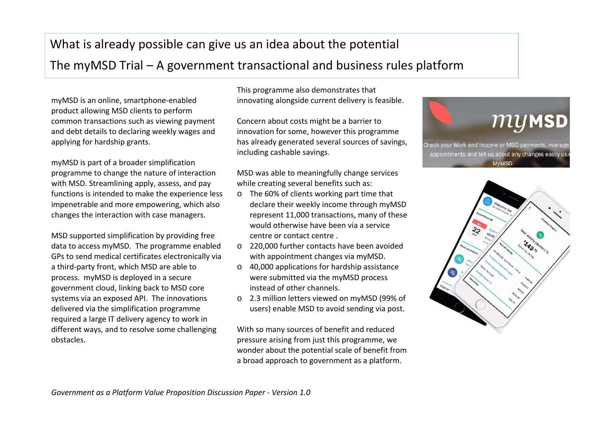## What is already possible can give us an idea about the potential

### The myMSD Trial  $-$  A government transactional and business rules platform

myMSD is an online, smartphone-enabled product allowing MSD clients to perform common transactions such as viewing payment and debt details to declaring weekly wages and applying for hardship grants.

myMSD is part of a broader simplification programme to change the nature of interaction with MSD. Streamlining apply, assess, and pay functions is intended to make the experience less impenetrable and more empowering, which also changes the interaction with case managers.

MSD supported simplification by providing free data to access myMSD. The programme enabled GPs to send medical certificates electronically via a third-party front, which MSD are able to process. myMSD is deployed in a secure government cloud, linking back to MSD core systems via an exposed API. The innovations delivered via the simplification programme required a large IT delivery agency to work in different ways, and to resolve some challenging obstacles. 

This programme also demonstrates that innovating alongside current delivery is feasible.

Concern about costs might be a barrier to innovation for some, however this programme has already generated several sources of savings, including cashable savings.

MSD was able to meaningfully change services while creating several benefits such as:

- $\circ$  The 60% of clients working part time that declare their weekly income through myMSD represent 11,000 transactions, many of these would otherwise have been via a service centre or contact centre.
- $\circ$  220,000 further contacts have been avoided with appointment changes via myMSD.
- $\circ$  40,000 applications for hardship assistance were submitted via the myMSD process instead of other channels.
- o 2.3 million letters viewed on myMSD (99% of users) enable MSD to avoid sending via post.

With so many sources of benefit and reduced pressure arising from just this programme, we wonder about the potential scale of benefit from a broad approach to government as a platform.



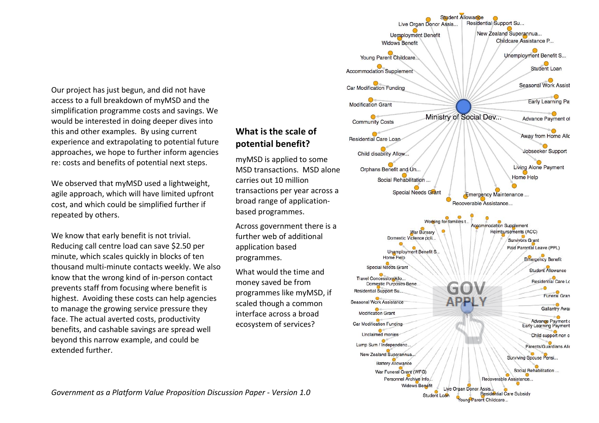Our project has just begun, and did not have access to a full breakdown of myMSD and the simplification programme costs and savings. We would be interested in doing deeper dives into this and other examples. By using current experience and extrapolating to potential future approaches, we hope to further inform agencies re: costs and benefits of potential next steps.

We observed that myMSD used a lightweight, agile approach, which will have limited upfront cost, and which could be simplified further if repeated by others.

We know that early benefit is not trivial. Reducing call centre load can save \$2.50 per minute, which scales quickly in blocks of ten thousand multi-minute contacts weekly. We also know that the wrong kind of in-person contact prevents staff from focusing where benefit is highest. Avoiding these costs can help agencies to manage the growing service pressure they face. The actual averted costs, productivity benefits, and cashable savings are spread well beyond this narrow example, and could be extended further.

#### **What is the scale of potential benefit ?**

myMSD is applied to some MSD transactions. MSD alone carries out 10 million transactions per year across a broad range of applicationbased programmes.

Across government there is a further web of additional application based programmes.

What would the time and money saved be from programmes like myMSD, if scaled though a common interface across a broad ecosystem of services?



Government as a Platform Value Proposition Discussion Paper - Version 1.0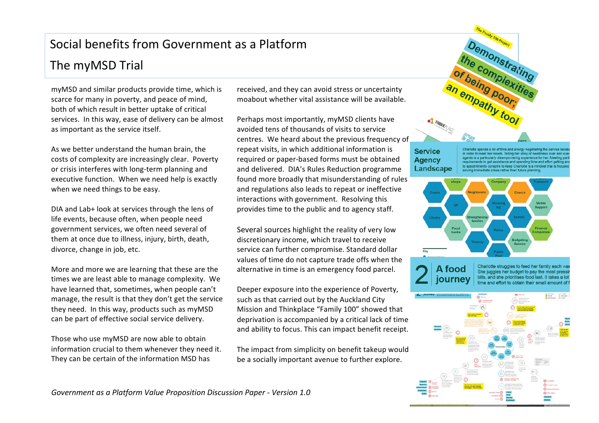# Social benefits from Government as a Platform The myMSD Trial

myMSD and similar products provide time, which is scarce for many in poverty, and peace of mind, both of which result in better uptake of critical services. In this way, ease of delivery can be almost as important as the service itself.

As we better understand the human brain, the costs of complexity are increasingly clear. Poverty or crisis interferes with long-term planning and executive function. When we need help is exactly when we need things to be easy.

DIA and Lab+ look at services through the lens of life events, because often, when people need government services, we often need several of them at once due to illness, injury, birth, death, divorce, change in job, etc.

More and more we are learning that these are the times we are least able to manage complexity. We have learned that, sometimes, when people can't manage, the result is that they don't get the service they need. In this way, products such as myMSD can be part of effective social service delivery.

Those who use myMSD are now able to obtain information crucial to them whenever they need it. They can be certain of the information MSD has

received, and they can avoid stress or uncertainty moabout whether vital assistance will be available.

Perhaps most importantly, myMSD clients have avoided tens of thousands of visits to service centres. We heard about the previous frequency of repeat visits, in which additional information is required or paper-based forms must be obtained and delivered. DIA's Rules Reduction programme found more broadly that misunderstanding of rules and regulations also leads to repeat or ineffective interactions with government. Resolving this provides time to the public and to agency staff.

Several sources highlight the reality of very low discretionary income, which travel to receive service can further compromise. Standard dollar values of time do not capture trade offs when the alternative in time is an emergency food parcel.

Deeper exposure into the experience of Poverty, such as that carried out by the Auckland City Mission and Thinkplace "Family 100" showed that deprivation is accompanied by a critical lack of time and ability to focus. This can impact benefit receipt.

The impact from simplicity on benefit takeup would be a socially important avenue to further explore.



#### **Service Agency** Landscape

lotte spends a lot of time and energy negotiating the service eet her needs. Telling her story of needi nts to get assistance and spending time and effort get onspire to keep Charlotte is a mindset that ate crises rather than future plant





Charlotte struggles to feed her family each we She juggles her budget to pay the most pressi bills, and she prioritises food last. It takes a lot time and effort to obtain their small amount of



*Government as a Platform Value Proposition Discussion Paper - Version 1.0*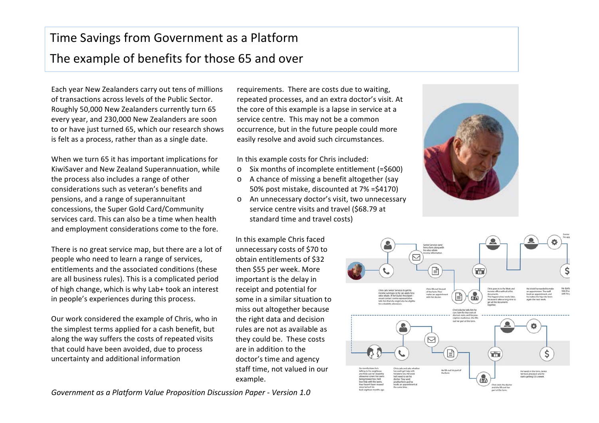# Time Savings from Government as a Platform The example of benefits for those 65 and over

Each year New Zealanders carry out tens of millions of transactions across levels of the Public Sector. Roughly 50,000 New Zealanders currently turn 65 every year, and 230,000 New Zealanders are soon to or have just turned 65, which our research shows is felt as a process, rather than as a single date.

When we turn 65 it has important implications for KiwiSaver and New Zealand Superannuation, while the process also includes a range of other considerations such as veteran's benefits and pensions, and a range of superannuitant concessions, the Super Gold Card/Community services card. This can also be a time when health and employment considerations come to the fore.

There is no great service map, but there are a lot of people who need to learn a range of services, entitlements and the associated conditions (these are all business rules). This is a complicated period of high change, which is why Lab+ took an interest in people's experiences during this process.

Our work considered the example of Chris, who in the simplest terms applied for a cash benefit, but along the way suffers the costs of repeated visits that could have been avoided, due to process uncertainty and additional information 

*Government as a Platform Value Proposition Discussion Paper - Version 1.0*

requirements. There are costs due to waiting, repeated processes, and an extra doctor's visit. At the core of this example is a lapse in service at a service centre. This may not be a common occurrence, but in the future people could more easily resolve and avoid such circumstances.

In this example costs for Chris included:

- $\circ$  Six months of incomplete entitlement (=\$600)
- $\circ$  A chance of missing a benefit altogether (say 50% post mistake, discounted at 7% = \$4170)
- o An unnecessary doctor's visit, two unnecessary service centre visits and travel (\$68.79 at standard time and travel costs)

In this example Chris faced unnecessary costs of \$70 to obtain entitlements of \$32 then \$55 per week. More important is the delay in receipt and potential for some in a similar situation to miss out altogether because the right data and decision rules are not as available as they could be. These costs are in addition to the doctor's time and agency staff time, not valued in our example.



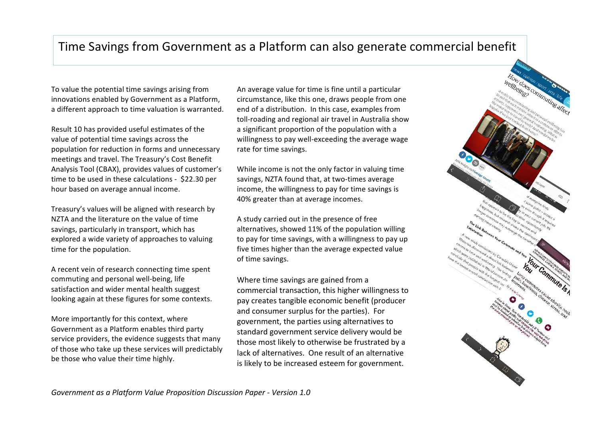### Time Savings from Government as a Platform can also generate commercial benefit

To value the potential time savings arising from innovations enabled by Government as a Platform, a different approach to time valuation is warranted.

Result 10 has provided useful estimates of the value of potential time savings across the population for reduction in forms and unnecessary meetings and travel. The Treasury's Cost Benefit Analysis Tool (CBAX), provides values of customer's time to be used in these calculations - \$22.30 per hour based on average annual income.

Treasury's values will be aligned with research by NZTA and the literature on the value of time savings, particularly in transport, which has explored a wide variety of approaches to valuing time for the population.

A recent vein of research connecting time spent commuting and personal well-being, life satisfaction and wider mental health suggest looking again at these figures for some contexts.

More importantly for this context, where Government as a Platform enables third party service providers, the evidence suggests that many of those who take up these services will predictably be those who value their time highly.

An average value for time is fine until a particular circumstance, like this one, draws people from one end of a distribution. In this case, examples from toll-roading and regional air travel in Australia show a significant proportion of the population with a willingness to pay well-exceeding the average wage rate for time savings.

While income is not the only factor in valuing time savings, NZTA found that, at two-times average income, the willingness to pay for time savings is 40% greater than at average incomes.

A study carried out in the presence of free alternatives, showed 11% of the population willing to pay for time savings, with a willingness to pay up five times higher than the average expected value of time savings.

Where time savings are gained from a commercial transaction, this higher willingness to pay creates tangible economic benefit (producer and consumer surplus for the parties). For government, the parties using alternatives to standard government service delivery would be those most likely to otherwise be frustrated by a lack of alternatives. One result of an alternative is likely to be increased esteem for government.

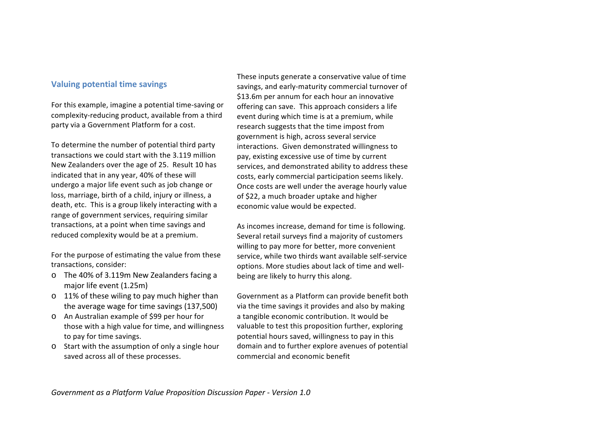#### **Valuing potential time savings**

For this example, imagine a potential time-saving or complexity-reducing product, available from a third party via a Government Platform for a cost.

To determine the number of potential third party transactions we could start with the 3.119 million New Zealanders over the age of 25. Result 10 has indicated that in any year, 40% of these will undergo a major life event such as job change or loss, marriage, birth of a child, injury or illness, a death, etc. This is a group likely interacting with a range of government services, requiring similar transactions, at a point when time savings and reduced complexity would be at a premium.

For the purpose of estimating the value from these transactions, consider:

- o The 40% of 3.119m New Zealanders facing a major life event (1.25m)
- $\circ$  11% of these wiling to pay much higher than the average wage for time savings (137,500)
- o An Australian example of \$99 per hour for those with a high value for time, and willingness to pay for time savings.
- $\circ$  Start with the assumption of only a single hour saved across all of these processes.

These inputs generate a conservative value of time savings, and early-maturity commercial turnover of \$13.6m per annum for each hour an innovative offering can save. This approach considers a life event during which time is at a premium, while research suggests that the time impost from government is high, across several service interactions. Given demonstrated willingness to pay, existing excessive use of time by current services, and demonstrated ability to address these costs, early commercial participation seems likely. Once costs are well under the average hourly value of \$22, a much broader uptake and higher economic value would be expected.

As incomes increase, demand for time is following. Several retail surveys find a majority of customers willing to pay more for better, more convenient service, while two thirds want available self-service options. More studies about lack of time and wellbeing are likely to hurry this along.

Government as a Platform can provide benefit both via the time savings it provides and also by making a tangible economic contribution. It would be valuable to test this proposition further, exploring potential hours saved, willingness to pay in this domain and to further explore avenues of potential commercial and economic benefit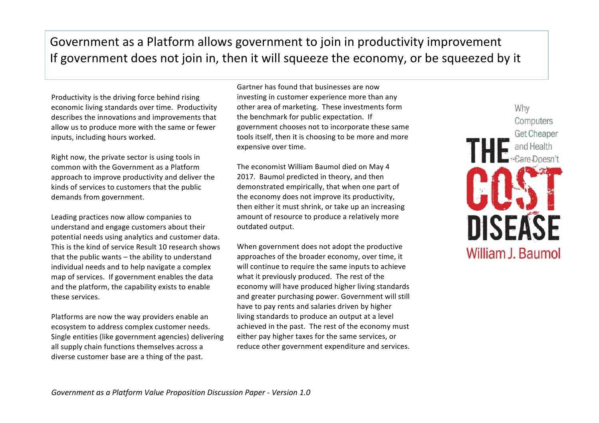## Government as a Platform allows government to join in productivity improvement If government does not join in, then it will squeeze the economy, or be squeezed by it

Productivity is the driving force behind rising economic living standards over time. Productivity describes the innovations and improvements that allow us to produce more with the same or fewer inputs, including hours worked.

Right now, the private sector is using tools in common with the Government as a Platform approach to improve productivity and deliver the kinds of services to customers that the public demands from government.

Leading practices now allow companies to understand and engage customers about their potential needs using analytics and customer data. This is the kind of service Result 10 research shows that the public wants  $-$  the ability to understand individual needs and to help navigate a complex map of services. If government enables the data and the platform, the capability exists to enable these services.

Platforms are now the way providers enable an ecosystem to address complex customer needs. Single entities (like government agencies) delivering all supply chain functions themselves across a diverse customer base are a thing of the past.

Gartner has found that businesses are now investing in customer experience more than any other area of marketing. These investments form the benchmark for public expectation. If government chooses not to incorporate these same tools itself, then it is choosing to be more and more expensive over time.

The economist William Baumol died on May 4 2017. Baumol predicted in theory, and then demonstrated empirically, that when one part of the economy does not improve its productivity, then either it must shrink, or take up an increasing amount of resource to produce a relatively more outdated output.

When government does not adopt the productive approaches of the broader economy, over time, it will continue to require the same inputs to achieve what it previously produced. The rest of the economy will have produced higher living standards and greater purchasing power. Government will still have to pay rents and salaries driven by higher living standards to produce an output at a level achieved in the past. The rest of the economy must either pay higher taxes for the same services, or reduce other government expenditure and services.